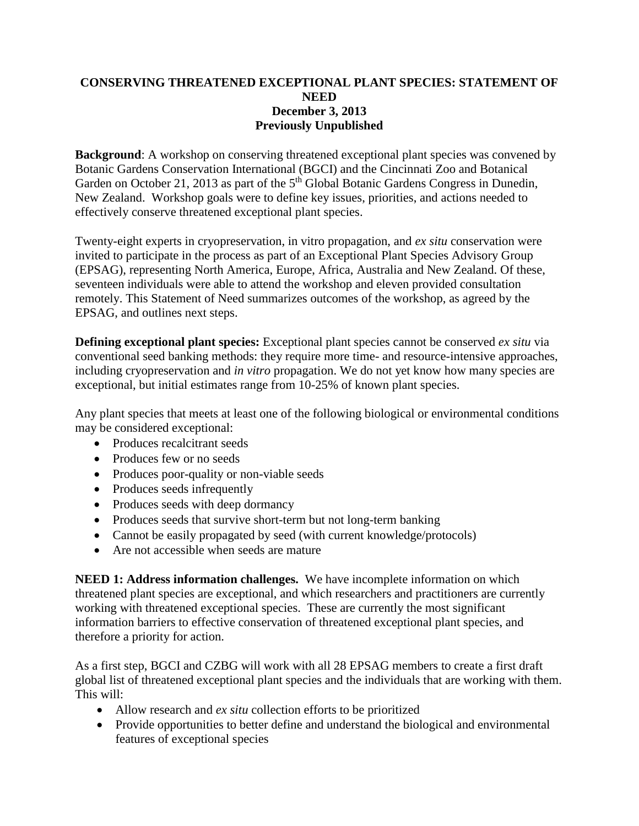## **CONSERVING THREATENED EXCEPTIONAL PLANT SPECIES: STATEMENT OF NEED December 3, 2013 Previously Unpublished**

**Background**: A workshop on conserving threatened exceptional plant species was convened by Botanic Gardens Conservation International (BGCI) and the Cincinnati Zoo and Botanical Garden on October 21, 2013 as part of the  $5<sup>th</sup>$  Global Botanic Gardens Congress in Dunedin, New Zealand. Workshop goals were to define key issues, priorities, and actions needed to effectively conserve threatened exceptional plant species.

Twenty-eight experts in cryopreservation, in vitro propagation, and *ex situ* conservation were invited to participate in the process as part of an Exceptional Plant Species Advisory Group (EPSAG), representing North America, Europe, Africa, Australia and New Zealand. Of these, seventeen individuals were able to attend the workshop and eleven provided consultation remotely. This Statement of Need summarizes outcomes of the workshop, as agreed by the EPSAG, and outlines next steps.

**Defining exceptional plant species:** Exceptional plant species cannot be conserved *ex situ* via conventional seed banking methods: they require more time- and resource-intensive approaches, including cryopreservation and *in vitro* propagation. We do not yet know how many species are exceptional, but initial estimates range from 10-25% of known plant species.

Any plant species that meets at least one of the following biological or environmental conditions may be considered exceptional:

- Produces recalcitrant seeds
- Produces few or no seeds
- Produces poor-quality or non-viable seeds
- Produces seeds infrequently
- Produces seeds with deep dormancy
- Produces seeds that survive short-term but not long-term banking
- Cannot be easily propagated by seed (with current knowledge/protocols)
- Are not accessible when seeds are mature

**NEED 1: Address information challenges.** We have incomplete information on which threatened plant species are exceptional, and which researchers and practitioners are currently working with threatened exceptional species. These are currently the most significant information barriers to effective conservation of threatened exceptional plant species, and therefore a priority for action.

As a first step, BGCI and CZBG will work with all 28 EPSAG members to create a first draft global list of threatened exceptional plant species and the individuals that are working with them. This will:

- Allow research and *ex situ* collection efforts to be prioritized
- Provide opportunities to better define and understand the biological and environmental features of exceptional species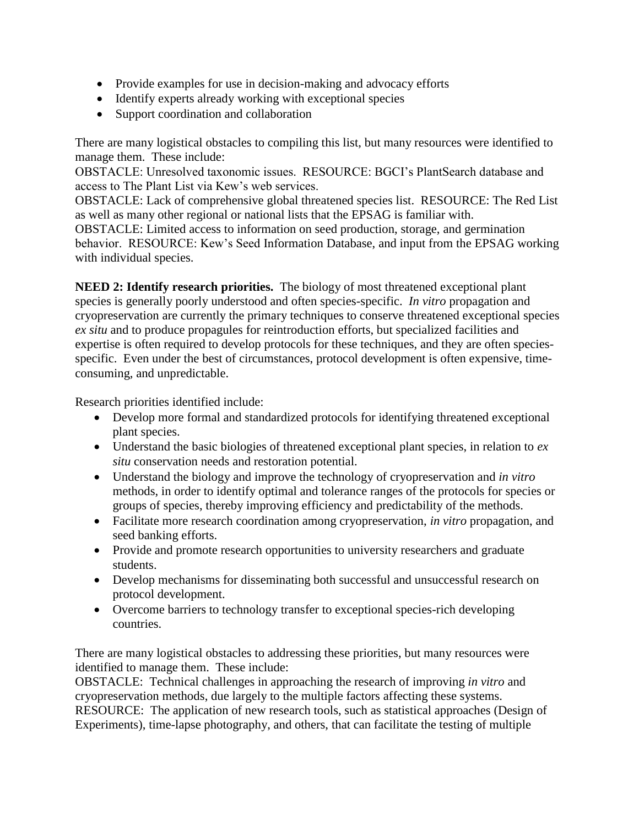- Provide examples for use in decision-making and advocacy efforts
- Identify experts already working with exceptional species
- Support coordination and collaboration

There are many logistical obstacles to compiling this list, but many resources were identified to manage them. These include:

OBSTACLE: Unresolved taxonomic issues. RESOURCE: BGCI's PlantSearch database and access to The Plant List via Kew's web services.

OBSTACLE: Lack of comprehensive global threatened species list. RESOURCE: The Red List as well as many other regional or national lists that the EPSAG is familiar with.

OBSTACLE: Limited access to information on seed production, storage, and germination behavior. RESOURCE: Kew's Seed Information Database, and input from the EPSAG working with individual species.

**NEED 2: Identify research priorities.** The biology of most threatened exceptional plant species is generally poorly understood and often species-specific. *In vitro* propagation and cryopreservation are currently the primary techniques to conserve threatened exceptional species *ex situ* and to produce propagules for reintroduction efforts, but specialized facilities and expertise is often required to develop protocols for these techniques, and they are often speciesspecific. Even under the best of circumstances, protocol development is often expensive, timeconsuming, and unpredictable.

Research priorities identified include:

- Develop more formal and standardized protocols for identifying threatened exceptional plant species.
- Understand the basic biologies of threatened exceptional plant species, in relation to *ex situ* conservation needs and restoration potential.
- Understand the biology and improve the technology of cryopreservation and *in vitro* methods, in order to identify optimal and tolerance ranges of the protocols for species or groups of species, thereby improving efficiency and predictability of the methods.
- Facilitate more research coordination among cryopreservation, *in vitro* propagation, and seed banking efforts.
- Provide and promote research opportunities to university researchers and graduate students.
- Develop mechanisms for disseminating both successful and unsuccessful research on protocol development.
- Overcome barriers to technology transfer to exceptional species-rich developing countries.

There are many logistical obstacles to addressing these priorities, but many resources were identified to manage them. These include:

OBSTACLE: Technical challenges in approaching the research of improving *in vitro* and cryopreservation methods, due largely to the multiple factors affecting these systems. RESOURCE: The application of new research tools, such as statistical approaches (Design of Experiments), time-lapse photography, and others, that can facilitate the testing of multiple